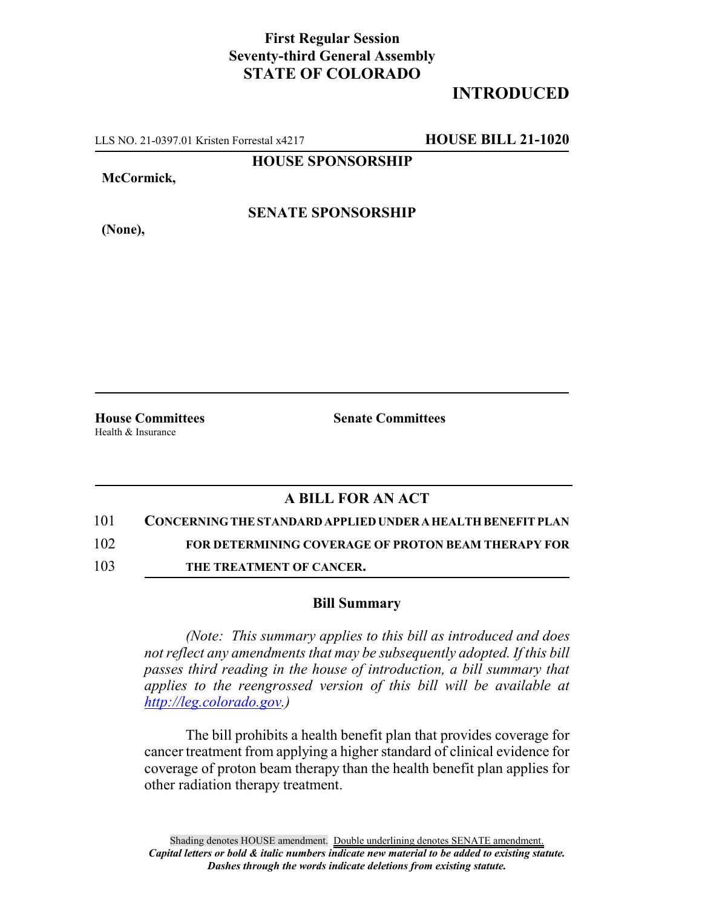## **First Regular Session Seventy-third General Assembly STATE OF COLORADO**

## **INTRODUCED**

LLS NO. 21-0397.01 Kristen Forrestal x4217 **HOUSE BILL 21-1020**

**HOUSE SPONSORSHIP**

**McCormick,**

**(None),**

**SENATE SPONSORSHIP**

Health & Insurance

**House Committees Senate Committees**

## **A BILL FOR AN ACT**

101 **CONCERNING THE STANDARD APPLIED UNDER A HEALTH BENEFIT PLAN**

102 **FOR DETERMINING COVERAGE OF PROTON BEAM THERAPY FOR**

103 **THE TREATMENT OF CANCER.**

## **Bill Summary**

*(Note: This summary applies to this bill as introduced and does not reflect any amendments that may be subsequently adopted. If this bill passes third reading in the house of introduction, a bill summary that applies to the reengrossed version of this bill will be available at http://leg.colorado.gov.)*

The bill prohibits a health benefit plan that provides coverage for cancer treatment from applying a higher standard of clinical evidence for coverage of proton beam therapy than the health benefit plan applies for other radiation therapy treatment.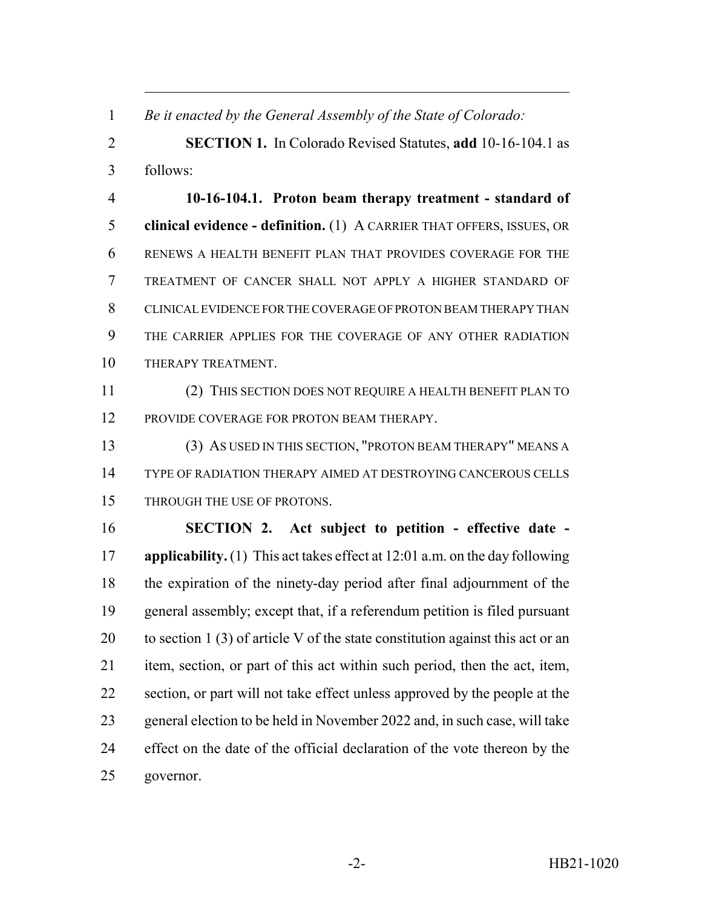*Be it enacted by the General Assembly of the State of Colorado:*

 **SECTION 1.** In Colorado Revised Statutes, **add** 10-16-104.1 as follows:

 **10-16-104.1. Proton beam therapy treatment - standard of clinical evidence - definition.** (1) A CARRIER THAT OFFERS, ISSUES, OR RENEWS A HEALTH BENEFIT PLAN THAT PROVIDES COVERAGE FOR THE TREATMENT OF CANCER SHALL NOT APPLY A HIGHER STANDARD OF CLINICAL EVIDENCE FOR THE COVERAGE OF PROTON BEAM THERAPY THAN THE CARRIER APPLIES FOR THE COVERAGE OF ANY OTHER RADIATION THERAPY TREATMENT.

 (2) THIS SECTION DOES NOT REQUIRE A HEALTH BENEFIT PLAN TO 12 PROVIDE COVERAGE FOR PROTON BEAM THERAPY.

 (3) AS USED IN THIS SECTION, "PROTON BEAM THERAPY" MEANS A TYPE OF RADIATION THERAPY AIMED AT DESTROYING CANCEROUS CELLS THROUGH THE USE OF PROTONS.

 **SECTION 2. Act subject to petition - effective date - applicability.** (1) This act takes effect at 12:01 a.m. on the day following the expiration of the ninety-day period after final adjournment of the general assembly; except that, if a referendum petition is filed pursuant 20 to section 1 (3) of article V of the state constitution against this act or an item, section, or part of this act within such period, then the act, item, section, or part will not take effect unless approved by the people at the general election to be held in November 2022 and, in such case, will take effect on the date of the official declaration of the vote thereon by the governor.